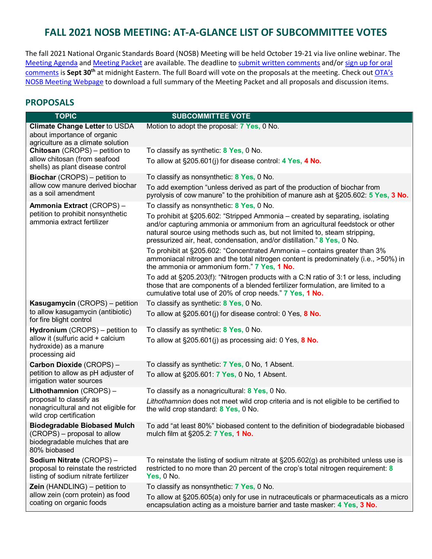# **FALL 2021 NOSB MEETING: AT-A-GLANCE LIST OF SUBCOMMITTEE VOTES**

The fall 2021 National Organic Standards Board (NOSB) Meeting will be held October 19-21 via live online webinar. The [Meeting Agenda](https://www.ams.usda.gov/sites/default/files/media/Agenda2021OctNOSBVirtualEXTERNAL.pdf) an[d Meeting Packet](https://www.ams.usda.gov/sites/default/files/media/NOSBProposals%26DDsOctober2021acc.pdf) are available. The deadline to [submit written comments](https://www.regulations.gov/document/AMS-NOP-21-0038-0001) and/or [sign up for oral](https://www.ams.usda.gov/event/national-organic-standards-board-nosb-meeting-sacramento-ca)  [comments](https://www.ams.usda.gov/event/national-organic-standards-board-nosb-meeting-sacramento-ca) is Sept 30<sup>th</sup> at midnight Eastern. The full Board will vote on the proposals at the meeting. Check out OTA's [NOSB Meeting Webpage](https://ota.com/advocacy/organic-standards/national-organic-standards-board/nosb-fall-2021-meeting) to download a full summary of the Meeting Packet and all proposals and discussion items.

### **PROPOSALS**

| <b>TOPIC</b>                                                                                                         | <b>SUBCOMMITTEE VOTE</b>                                                                                                                                                                                                                                                                                               |
|----------------------------------------------------------------------------------------------------------------------|------------------------------------------------------------------------------------------------------------------------------------------------------------------------------------------------------------------------------------------------------------------------------------------------------------------------|
| Climate Change Letter to USDA<br>about importance of organic<br>agriculture as a climate solution                    | Motion to adopt the proposal: 7 Yes, 0 No.                                                                                                                                                                                                                                                                             |
| Chitosan (CROPS) - petition to<br>allow chitosan (from seafood                                                       | To classify as synthetic: 8 Yes, 0 No.<br>To allow at $\S205.601(i)$ for disease control: 4 Yes, 4 No.                                                                                                                                                                                                                 |
| shells) as plant disease control                                                                                     |                                                                                                                                                                                                                                                                                                                        |
| <b>Biochar</b> (CROPS) – petition to<br>allow cow manure derived biochar<br>as a soil amendment                      | To classify as nonsynthetic: 8 Yes, 0 No.                                                                                                                                                                                                                                                                              |
|                                                                                                                      | To add exemption "unless derived as part of the production of biochar from<br>pyrolysis of cow manure" to the prohibition of manure ash at §205.602: 5 Yes, 3 No.                                                                                                                                                      |
| Ammonia Extract (CROPS) -<br>petition to prohibit nonsynthetic<br>ammonia extract fertilizer                         | To classify as nonsynthetic: 8 Yes, 0 No.                                                                                                                                                                                                                                                                              |
|                                                                                                                      | To prohibit at §205.602: "Stripped Ammonia – created by separating, isolating<br>and/or capturing ammonia or ammonium from an agricultural feedstock or other<br>natural source using methods such as, but not limited to, steam stripping,<br>pressurized air, heat, condensation, and/or distillation." 8 Yes, 0 No. |
|                                                                                                                      | To prohibit at §205.602: "Concentrated Ammonia – contains greater than 3%<br>ammoniacal nitrogen and the total nitrogen content is predominately (i.e., >50%) in<br>the ammonia or ammonium form." 7 Yes, 1 No.                                                                                                        |
|                                                                                                                      | To add at §205.203(f): "Nitrogen products with a C:N ratio of 3:1 or less, including<br>those that are components of a blended fertilizer formulation, are limited to a<br>cumulative total use of 20% of crop needs." 7 Yes, 1 No.                                                                                    |
| Kasugamycin (CROPS) – petition<br>to allow kasugamycin (antibiotic)<br>for fire blight control                       | To classify as synthetic: 8 Yes, 0 No.                                                                                                                                                                                                                                                                                 |
|                                                                                                                      | To allow at $\S205.601(i)$ for disease control: 0 Yes, 8 No.                                                                                                                                                                                                                                                           |
| Hydronium (CROPS) - petition to<br>allow it (sulfuric acid + calcium<br>hydroxide) as a manure<br>processing aid     | To classify as synthetic: 8 Yes, 0 No.                                                                                                                                                                                                                                                                                 |
|                                                                                                                      | To allow at $\S 205.601$ (j) as processing aid: 0 Yes, 8 No.                                                                                                                                                                                                                                                           |
| Carbon Dioxide (CROPS) -<br>petition to allow as pH adjuster of<br>irrigation water sources                          | To classify as synthetic: 7 Yes, 0 No, 1 Absent.                                                                                                                                                                                                                                                                       |
|                                                                                                                      | To allow at §205.601: 7 Yes, 0 No, 1 Absent.                                                                                                                                                                                                                                                                           |
| Lithothamnion (CROPS)-                                                                                               | To classify as a nonagricultural: 8 Yes, 0 No.                                                                                                                                                                                                                                                                         |
| proposal to classify as<br>nonagricultural and not eligible for<br>wild crop certification                           | Lithothamnion does not meet wild crop criteria and is not eligible to be certified to<br>the wild crop standard: 8 Yes, 0 No.                                                                                                                                                                                          |
| <b>Biodegradable Biobased Mulch</b><br>(CROPS) – proposal to allow<br>biodegradable mulches that are<br>80% biobased | To add "at least 80%" biobased content to the definition of biodegradable biobased<br>mulch film at §205.2: 7 Yes, 1 No.                                                                                                                                                                                               |
| Sodium Nitrate (CROPS) -<br>proposal to reinstate the restricted<br>listing of sodium nitrate fertilizer             | To reinstate the listing of sodium nitrate at $\S 205.602(g)$ as prohibited unless use is<br>restricted to no more than 20 percent of the crop's total nitrogen requirement: 8<br>Yes, $0$ No.                                                                                                                         |
| Zein (HANDLING) - petition to                                                                                        | To classify as nonsynthetic: 7 Yes, 0 No.                                                                                                                                                                                                                                                                              |
| allow zein (corn protein) as food<br>coating on organic foods                                                        | To allow at §205.605(a) only for use in nutraceuticals or pharmaceuticals as a micro<br>encapsulation acting as a moisture barrier and taste masker: 4 Yes, 3 No.                                                                                                                                                      |